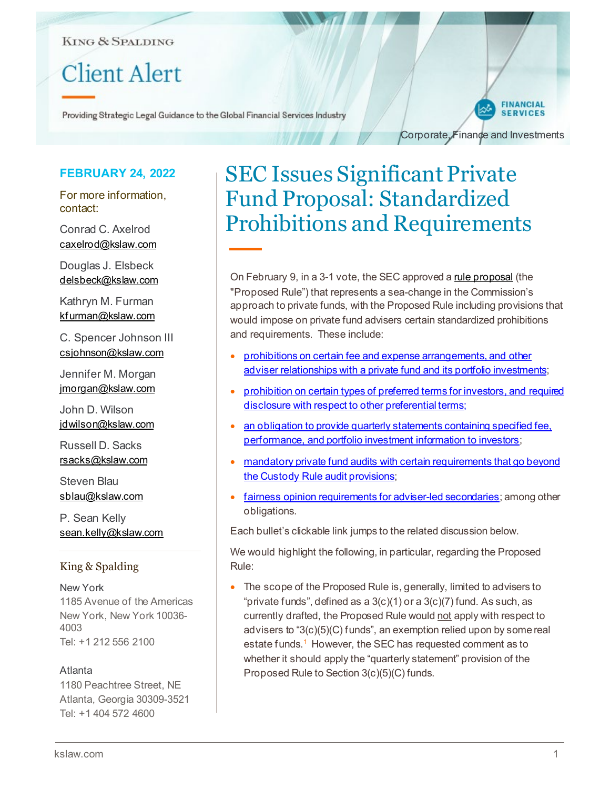#### **KING & SPALDING**

# **Client Alert**

Providing Strategic Legal Guidance to the Global Financial Services Industry

**FINANCIAL SERVICES** 

Corporate, Finance and Investments

## **FEBRUARY 24, 2022**

For more information, contact:

Conrad C. Axelrod [caxelrod@kslaw.com](mailto:caxelrod@kslaw.com)

Douglas J. Elsbeck [delsbeck@kslaw.com](mailto:delsbeck@kslaw.com)

Kathryn M. Furman [kfurman@kslaw.com](mailto:kfurman@kslaw.com)

C. Spencer Johnson III [csjohnson@kslaw.com](mailto:csjohnson@kslaw.com)

Jennifer M. Morgan [jmorgan@kslaw.com](mailto:jmorgan@kslaw.com)

John D. Wilson [jdwilson@kslaw.com](mailto:jdwilson@kslaw.com)

Russell D. Sacks [rsacks@kslaw.com](mailto:rsacks@kslaw.com)

Steven Blau [sblau@kslaw.com](mailto:sblau@kslaw.com)

P. Sean Kelly [sean.kelly@kslaw.com](mailto:sean.kelly@kslaw.com)

# King & Spalding

New York 1185 Avenue of the Americas New York, New York 10036- 4003 Tel: +1 212 556 2100

#### Atlanta

1180 Peachtree Street, NE Atlanta, Georgia 30309-3521 Tel: +1 404 572 4600

# SEC Issues Significant Private Fund Proposal: Standardized Prohibitions and Requirements

On February 9, in a 3-1 vote, the SEC approved [a rule proposal](https://www.sec.gov/rules/proposed/2022/ia-5955.pdf) (the "Proposed Rule") that represents a sea-change in the Commission's approach to private funds, with the Proposed Rule including provisions that would impose on private fund advisers certain standardized prohibitions and requirements. These include:

- [prohibitions on certain fee and expense arrangements, and other](#page-1-0)  [adviser relationships with a private fund](#page-1-0) and its portfolio investments;
- prohibition on certain types of preferred terms for investors, and required [disclosure with respect to other preferential terms](#page-3-0);
- [an obligation to provide quarterly statements containing specified fee,](#page-4-0) [performance, and portfolio investment](#page-4-0) information to investors;
- mandatory private fund audits with certain requirements that go beyond [the Custody Rule audit provisions](#page-7-0);
- [fairness opinion requirements for adviser-led secondaries](#page-7-1); among other obligations.

Each bullet's clickable link jumps to the related discussion below.

We would highlight the following, in particular, regarding the Proposed Rule:

The scope of the Proposed Rule is, generally, limited to advisers to "private funds", defined as a  $3(c)(1)$  or a  $3(c)(7)$  fund. As such, as currently drafted, the Proposed Rule would not apply with respect to advisers to "3(c)(5)(C) funds", an exemption relied upon by some real estate funds.<sup>[1](#page-9-0)</sup> However, the SEC has requested comment as to whether it should apply the "quarterly statement" provision of the Proposed Rule to Section 3(c)(5)(C) funds.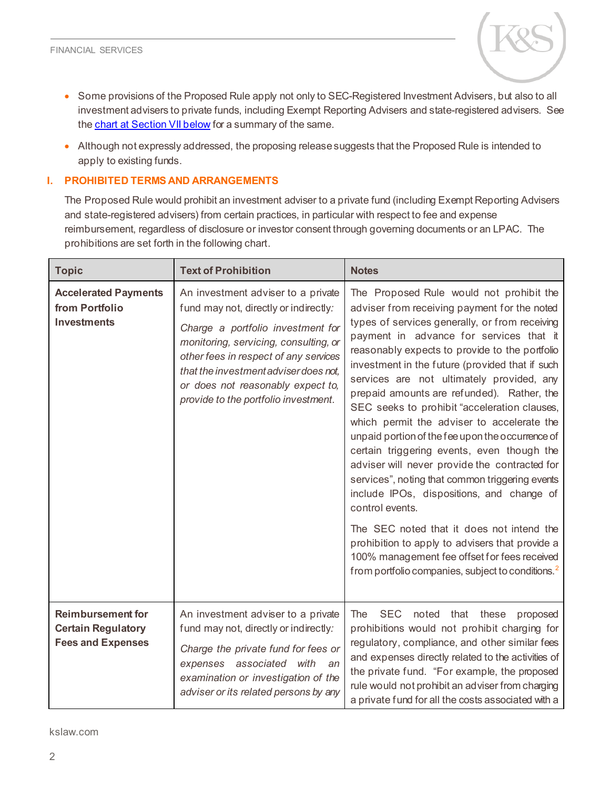- Some provisions of the Proposed Rule apply not only to SEC-Registered Investment Advisers, but also to all investment advisers to private funds, including Exempt Reporting Advisers and state-registered advisers. See the [chart at Section](#page-8-0) VII below for a summary of the same.
- Although not expressly addressed, the proposing release suggests that the Proposed Rule is intended to apply to existing funds.

## <span id="page-1-0"></span>**I. PROHIBITED TERMS AND ARRANGEMENTS**

The Proposed Rule would prohibit an investment adviser to a private fund (including Exempt Reporting Advisers and state-registered advisers) from certain practices, in particular with respect to fee and expense reimbursement, regardless of disclosure or investor consent through governing documents or an LPAC. The prohibitions are set forth in the following chart.

| <b>Topic</b>                                                                      | <b>Text of Prohibition</b>                                                                                                                                                                                                                                                                                               | <b>Notes</b>                                                                                                                                                                                                                                                                                                                                                                                                                                                                                                                                                                                                                                                                                                                                                                                                                                                                                                                                                               |
|-----------------------------------------------------------------------------------|--------------------------------------------------------------------------------------------------------------------------------------------------------------------------------------------------------------------------------------------------------------------------------------------------------------------------|----------------------------------------------------------------------------------------------------------------------------------------------------------------------------------------------------------------------------------------------------------------------------------------------------------------------------------------------------------------------------------------------------------------------------------------------------------------------------------------------------------------------------------------------------------------------------------------------------------------------------------------------------------------------------------------------------------------------------------------------------------------------------------------------------------------------------------------------------------------------------------------------------------------------------------------------------------------------------|
| <b>Accelerated Payments</b><br>from Portfolio<br><b>Investments</b>               | An investment adviser to a private<br>fund may not, directly or indirectly:<br>Charge a portfolio investment for<br>monitoring, servicing, consulting, or<br>other fees in respect of any services<br>that the investment adviser does not.<br>or does not reasonably expect to,<br>provide to the portfolio investment. | The Proposed Rule would not prohibit the<br>adviser from receiving payment for the noted<br>types of services generally, or from receiving<br>payment in advance for services that it<br>reasonably expects to provide to the portfolio<br>investment in the future (provided that if such<br>services are not ultimately provided, any<br>prepaid amounts are refunded). Rather, the<br>SEC seeks to prohibit "acceleration clauses,<br>which permit the adviser to accelerate the<br>unpaid portion of the fee upon the occurrence of<br>certain triggering events, even though the<br>adviser will never provide the contracted for<br>services", noting that common triggering events<br>include IPOs, dispositions, and change of<br>control events.<br>The SEC noted that it does not intend the<br>prohibition to apply to advisers that provide a<br>100% management fee offset for fees received<br>from portfolio companies, subject to conditions. <sup>2</sup> |
| <b>Reimbursement for</b><br><b>Certain Regulatory</b><br><b>Fees and Expenses</b> | An investment adviser to a private<br>fund may not, directly or indirectly:<br>Charge the private fund for fees or<br>expenses associated<br>with<br>an<br>examination or investigation of the<br>adviser or its related persons by any                                                                                  | <b>SEC</b><br>noted that these<br>The<br>proposed<br>prohibitions would not prohibit charging for<br>regulatory, compliance, and other similar fees<br>and expenses directly related to the activities of<br>the private fund. "For example, the proposed<br>rule would not prohibit an adviser from charging<br>a private fund for all the costs associated with a                                                                                                                                                                                                                                                                                                                                                                                                                                                                                                                                                                                                        |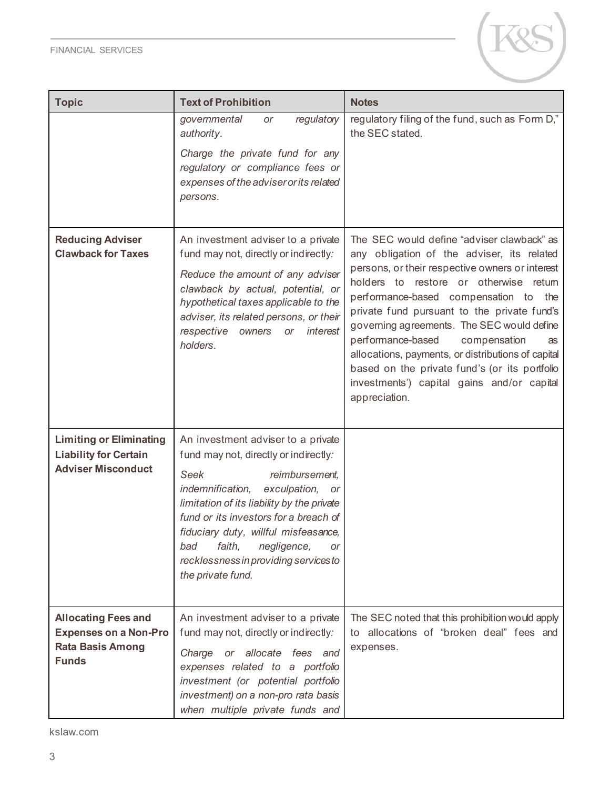

| <b>Topic</b>                                                                                          | <b>Text of Prohibition</b>                                                                                                                                                                                                                                                                                                                                                                | <b>Notes</b>                                                                                                                                                                                                                                                                                                                                                                                                                                                                                                                                |
|-------------------------------------------------------------------------------------------------------|-------------------------------------------------------------------------------------------------------------------------------------------------------------------------------------------------------------------------------------------------------------------------------------------------------------------------------------------------------------------------------------------|---------------------------------------------------------------------------------------------------------------------------------------------------------------------------------------------------------------------------------------------------------------------------------------------------------------------------------------------------------------------------------------------------------------------------------------------------------------------------------------------------------------------------------------------|
|                                                                                                       | regulatory<br>governmental<br>or<br>authority.<br>Charge the private fund for any<br>regulatory or compliance fees or<br>expenses of the adviser or its related<br>persons.                                                                                                                                                                                                               | regulatory filing of the fund, such as Form D,"<br>the SEC stated.                                                                                                                                                                                                                                                                                                                                                                                                                                                                          |
|                                                                                                       |                                                                                                                                                                                                                                                                                                                                                                                           |                                                                                                                                                                                                                                                                                                                                                                                                                                                                                                                                             |
| <b>Reducing Adviser</b><br><b>Clawback for Taxes</b>                                                  | An investment adviser to a private<br>fund may not, directly or indirectly:<br>Reduce the amount of any adviser<br>clawback by actual, potential, or<br>hypothetical taxes applicable to the<br>adviser, its related persons, or their<br>respective<br>interest<br>owners<br>or<br>holders.                                                                                              | The SEC would define "adviser clawback" as<br>any obligation of the adviser, its related<br>persons, or their respective owners or interest<br>holders to restore or otherwise retum<br>performance-based compensation to the<br>private fund pursuant to the private fund's<br>governing agreements. The SEC would define<br>performance-based<br>compensation<br>as<br>allocations, payments, or distributions of capital<br>based on the private fund's (or its portfolio<br>investments') capital gains and/or capital<br>appreciation. |
| <b>Limiting or Eliminating</b><br><b>Liability for Certain</b><br><b>Adviser Misconduct</b>           | An investment adviser to a private<br>fund may not, directly or indirectly:<br><b>Seek</b><br>reimbursement,<br>indemnification,<br>exculpation,<br>or<br>limitation of its liability by the private<br>fund or its investors for a breach of<br>fiduciary duty, willful misfeasance,<br>faith,<br>negligence,<br>bad<br>or<br>recklessness in providing services to<br>the private fund. |                                                                                                                                                                                                                                                                                                                                                                                                                                                                                                                                             |
| <b>Allocating Fees and</b><br><b>Expenses on a Non-Pro</b><br><b>Rata Basis Among</b><br><b>Funds</b> | An investment adviser to a private<br>fund may not, directly or indirectly:<br>Charge or allocate fees and<br>expenses related to a portfolio<br>investment (or potential portfolio<br>investment) on a non-pro rata basis<br>when multiple private funds and                                                                                                                             | The SEC noted that this prohibition would apply<br>to allocations of "broken deal" fees and<br>expenses.                                                                                                                                                                                                                                                                                                                                                                                                                                    |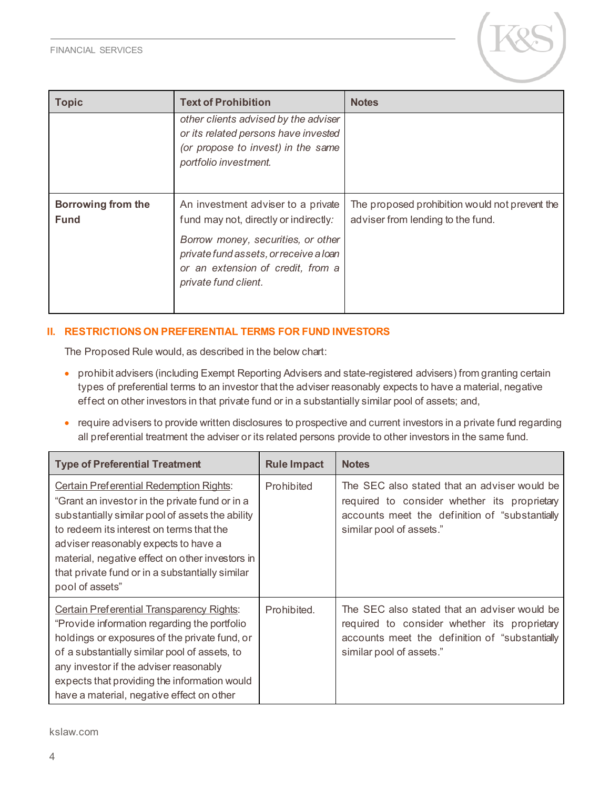

| <b>Topic</b>                      | <b>Text of Prohibition</b>                                                                                                                  | <b>Notes</b>                                                                        |
|-----------------------------------|---------------------------------------------------------------------------------------------------------------------------------------------|-------------------------------------------------------------------------------------|
|                                   | other clients advised by the adviser<br>or its related persons have invested<br>(or propose to invest) in the same<br>portfolio investment. |                                                                                     |
| Borrowing from the<br><b>Fund</b> | An investment adviser to a private<br>fund may not, directly or indirectly:<br>Borrow money, securities, or other                           | The proposed prohibition would not prevent the<br>adviser from lending to the fund. |
|                                   | private fund assets, or receive a loan<br>or an extension of credit, from a<br>private fund client.                                         |                                                                                     |

#### <span id="page-3-0"></span>**II. RESTRICTIONS ON PREFERENTIAL TERMS FOR FUND INVESTORS**

The Proposed Rule would, as described in the below chart:

- prohibit advisers (including Exempt Reporting Advisers and state-registered advisers) from granting certain types of preferential terms to an investor that the adviser reasonably expects to have a material, negative effect on other investors in that private fund or in a substantially similar pool of assets; and,
- require advisers to provide written disclosures to prospective and current investors in a private fund regarding all preferential treatment the adviser or its related persons provide to other investors in the same fund.

| <b>Type of Preferential Treatment</b>                                                                                                                                                                                                                                                                                                                             | <b>Rule Impact</b> | <b>Notes</b>                                                                                                                                                               |
|-------------------------------------------------------------------------------------------------------------------------------------------------------------------------------------------------------------------------------------------------------------------------------------------------------------------------------------------------------------------|--------------------|----------------------------------------------------------------------------------------------------------------------------------------------------------------------------|
| <b>Certain Preferential Redemption Rights:</b><br>"Grant an investor in the private fund or in a<br>substantially similar pool of assets the ability<br>to redeem its interest on terms that the<br>adviser reasonably expects to have a<br>material, negative effect on other investors in<br>that private fund or in a substantially similar<br>pool of assets" | Prohibited         | The SEC also stated that an adviser would be<br>required to consider whether its proprietary<br>accounts meet the definition of "substantially<br>similar pool of assets." |
| <b>Certain Preferential Transparency Rights:</b><br>"Provide information regarding the portfolio<br>holdings or exposures of the private fund, or<br>of a substantially similar pool of assets, to<br>any investor if the adviser reasonably<br>expects that providing the information would<br>have a material, negative effect on other                         | Prohibited.        | The SEC also stated that an adviser would be<br>required to consider whether its proprietary<br>accounts meet the definition of "substantially<br>similar pool of assets." |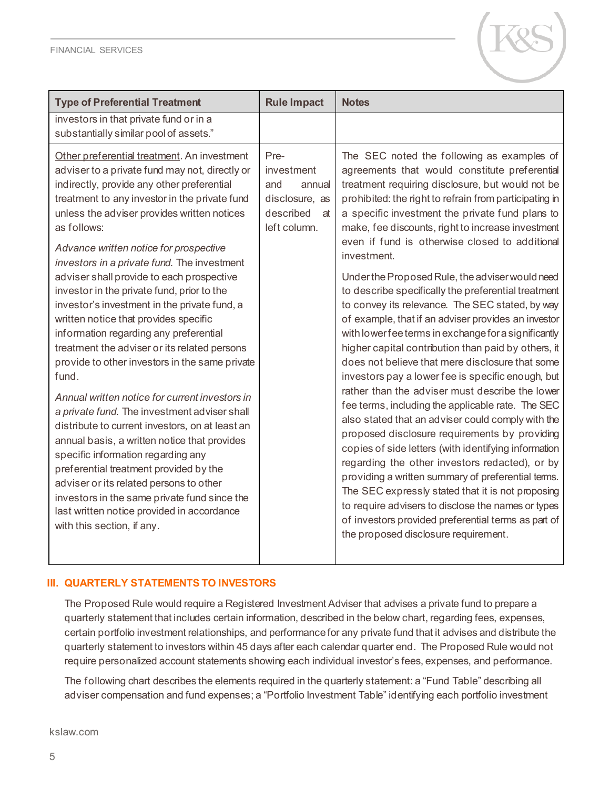

| investors in that private fund or in a<br>substantially similar pool of assets."<br>Other preferential treatment. An investment<br>Pre-<br>The SEC noted the following as examples of<br>adviser to a private fund may not, directly or<br>investment<br>agreements that would constitute preferential                                                                                                                                                                                                                                                                                                                                                                                                                                                                                                                                                                                                                                                                                                                                                                                                                                                                                                                                                                                                                                                                                                                                                                                                                                                                                                                                                                                                                                                                                                                                                                                                                                                                                                                                                                                                                                                                                                                                                                                                                                                                                                                                                 | <b>Type of Preferential Treatment</b> | <b>Rule Impact</b> | <b>Notes</b> |
|--------------------------------------------------------------------------------------------------------------------------------------------------------------------------------------------------------------------------------------------------------------------------------------------------------------------------------------------------------------------------------------------------------------------------------------------------------------------------------------------------------------------------------------------------------------------------------------------------------------------------------------------------------------------------------------------------------------------------------------------------------------------------------------------------------------------------------------------------------------------------------------------------------------------------------------------------------------------------------------------------------------------------------------------------------------------------------------------------------------------------------------------------------------------------------------------------------------------------------------------------------------------------------------------------------------------------------------------------------------------------------------------------------------------------------------------------------------------------------------------------------------------------------------------------------------------------------------------------------------------------------------------------------------------------------------------------------------------------------------------------------------------------------------------------------------------------------------------------------------------------------------------------------------------------------------------------------------------------------------------------------------------------------------------------------------------------------------------------------------------------------------------------------------------------------------------------------------------------------------------------------------------------------------------------------------------------------------------------------------------------------------------------------------------------------------------------------|---------------------------------------|--------------------|--------------|
|                                                                                                                                                                                                                                                                                                                                                                                                                                                                                                                                                                                                                                                                                                                                                                                                                                                                                                                                                                                                                                                                                                                                                                                                                                                                                                                                                                                                                                                                                                                                                                                                                                                                                                                                                                                                                                                                                                                                                                                                                                                                                                                                                                                                                                                                                                                                                                                                                                                        |                                       |                    |              |
| indirectly, provide any other preferential<br>treatment requiring disclosure, but would not be<br>and<br>annual<br>treatment to any investor in the private fund<br>disclosure, as<br>prohibited: the right to refrain from participating in<br>described<br>unless the adviser provides written notices<br>a specific investment the private fund plans to<br>at<br>left column.<br>as follows:<br>make, fee discounts, right to increase investment<br>even if fund is otherwise closed to additional<br>Advance written notice for prospective<br>investment.<br>investors in a private fund. The investment<br>adviser shall provide to each prospective<br>Under the Proposed Rule, the adviser would need<br>to describe specifically the preferential treatment<br>investor in the private fund, prior to the<br>investor's investment in the private fund, a<br>to convey its relevance. The SEC stated, by way<br>written notice that provides specific<br>of example, that if an adviser provides an investor<br>information regarding any preferential<br>with lower fee terms in exchange for a significantly<br>treatment the adviser or its related persons<br>higher capital contribution than paid by others, it<br>does not believe that mere disclosure that some<br>provide to other investors in the same private<br>fund.<br>investors pay a lower fee is specific enough, but<br>rather than the adviser must describe the lower<br>Annual written notice for current investors in<br>fee terms, including the applicable rate. The SEC<br>a private fund. The investment adviser shall<br>also stated that an adviser could comply with the<br>distribute to current investors, on at least an<br>proposed disclosure requirements by providing<br>annual basis, a written notice that provides<br>copies of side letters (with identifying information<br>specific information regarding any<br>regarding the other investors redacted), or by<br>preferential treatment provided by the<br>providing a written summary of preferential tems.<br>adviser or its related persons to other<br>The SEC expressly stated that it is not proposing<br>investors in the same private fund since the<br>to require advisers to disclose the names or types<br>last written notice provided in accordance<br>of investors provided preferential terms as part of<br>with this section, if any.<br>the proposed disclosure requirement. |                                       |                    |              |

#### <span id="page-4-0"></span>**III. QUARTERLY STATEMENTS TO INVESTORS**

The Proposed Rule would require a Registered Investment Adviser that advises a private fund to prepare a quarterly statement that includes certain information, described in the below chart, regarding fees, expenses, certain portfolio investment relationships, and performance for any private fund that it advises and distribute the quarterly statement to investors within 45 days after each calendar quarter end. The Proposed Rule would not require personalized account statements showing each individual investor's fees, expenses, and performance.

The following chart describes the elements required in the quarterly statement: a "Fund Table" describing all adviser compensation and fund expenses; a "Portfolio Investment Table" identifying each portfolio investment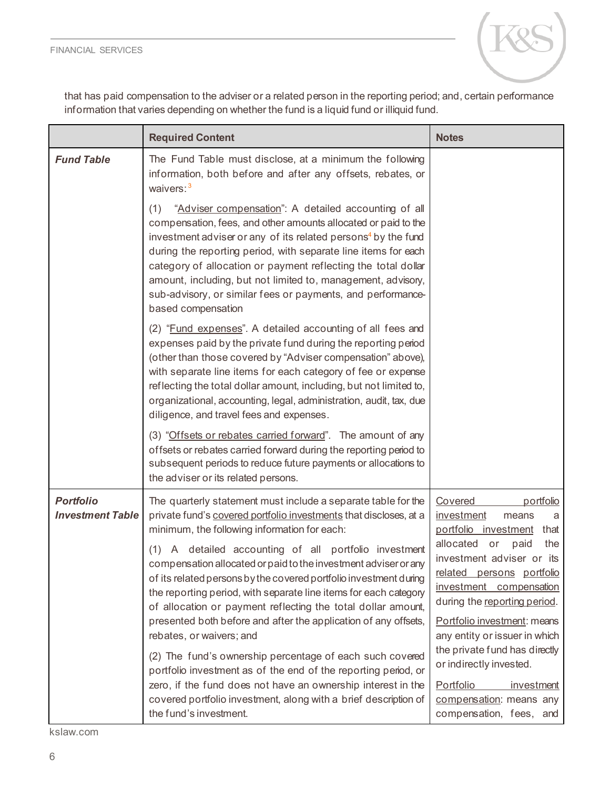FINANCIAL SERVICES



that has paid compensation to the adviser or a related person in the reporting period; and, certain performance information that varies depending on whether the fund is a liquid fund or illiquid fund.

|                                             | <b>Required Content</b>                                                                                                                                                                                                                                                                                                                                                                                                                                                                                                                                                                                                                                                                                                                                                                                                                                                                                            | <b>Notes</b>                                                                                                                                                                                                                                                                                                                                                                                                                                         |
|---------------------------------------------|--------------------------------------------------------------------------------------------------------------------------------------------------------------------------------------------------------------------------------------------------------------------------------------------------------------------------------------------------------------------------------------------------------------------------------------------------------------------------------------------------------------------------------------------------------------------------------------------------------------------------------------------------------------------------------------------------------------------------------------------------------------------------------------------------------------------------------------------------------------------------------------------------------------------|------------------------------------------------------------------------------------------------------------------------------------------------------------------------------------------------------------------------------------------------------------------------------------------------------------------------------------------------------------------------------------------------------------------------------------------------------|
| <b>Fund Table</b>                           | The Fund Table must disclose, at a minimum the following<br>information, both before and after any offsets, rebates, or<br>waivers: $3$                                                                                                                                                                                                                                                                                                                                                                                                                                                                                                                                                                                                                                                                                                                                                                            |                                                                                                                                                                                                                                                                                                                                                                                                                                                      |
|                                             | (1)<br>"Adviser compensation": A detailed accounting of all<br>compensation, fees, and other amounts allocated or paid to the<br>investment adviser or any of its related persons <sup>4</sup> by the fund<br>during the reporting period, with separate line items for each<br>category of allocation or payment reflecting the total dollar<br>amount, including, but not limited to, management, advisory,<br>sub-advisory, or similar fees or payments, and performance-<br>based compensation                                                                                                                                                                                                                                                                                                                                                                                                                 |                                                                                                                                                                                                                                                                                                                                                                                                                                                      |
|                                             | (2) "Fund expenses". A detailed accounting of all fees and<br>expenses paid by the private fund during the reporting period<br>(other than those covered by "Adviser compensation" above),<br>with separate line items for each category of fee or expense<br>reflecting the total dollar amount, including, but not limited to,<br>organizational, accounting, legal, administration, audit, tax, due<br>diligence, and travel fees and expenses.                                                                                                                                                                                                                                                                                                                                                                                                                                                                 |                                                                                                                                                                                                                                                                                                                                                                                                                                                      |
|                                             | (3) "Offsets or rebates carried forward". The amount of any<br>offsets or rebates carried forward during the reporting period to<br>subsequent periods to reduce future payments or allocations to<br>the adviser or its related persons.                                                                                                                                                                                                                                                                                                                                                                                                                                                                                                                                                                                                                                                                          |                                                                                                                                                                                                                                                                                                                                                                                                                                                      |
| <b>Portfolio</b><br><b>Investment Table</b> | The quarterly statement must include a separate table for the<br>private fund's covered portfolio investments that discloses, at a<br>minimum, the following information for each:<br>detailed accounting of all portfolio investment<br>(1)<br>compensation allocated or paid to the investment adviser or any<br>of its related persons by the covered portfolio investment during<br>the reporting period, with separate line items for each category<br>of allocation or payment reflecting the total dollar amount,<br>presented both before and after the application of any offsets,<br>rebates, or waivers; and<br>(2) The fund's ownership percentage of each such covered<br>portfolio investment as of the end of the reporting period, or<br>zero, if the fund does not have an ownership interest in the<br>covered portfolio investment, along with a brief description of<br>the fund's investment. | Covered<br>portfolio<br>investment<br>means<br>a<br>portfolio investment<br>that<br>allocated<br>or<br>paid<br>the<br>investment adviser or its<br>related persons portfolio<br>investment compensation<br>during the reporting period.<br>Portfolio investment: means<br>any entity or issuer in which<br>the private fund has directly<br>or indirectly invested.<br>Portfolio<br>investment<br>compensation: means any<br>compensation, fees, and |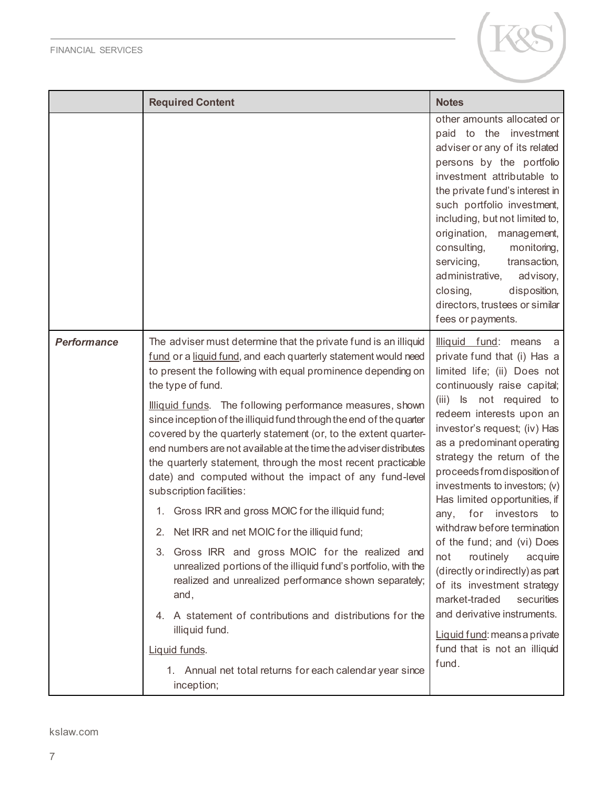

|                    | <b>Required Content</b>                                                                                                                                                                                                                                                                                                                                                                                                                                                                                                                                                                                                                                                                                                                                                                                                                                                                                                                                                                                                                                                                                                             | <b>Notes</b>                                                                                                                                                                                                                                                                                                                                                                                                                                                                                                                                                                                                                                                                                                           |
|--------------------|-------------------------------------------------------------------------------------------------------------------------------------------------------------------------------------------------------------------------------------------------------------------------------------------------------------------------------------------------------------------------------------------------------------------------------------------------------------------------------------------------------------------------------------------------------------------------------------------------------------------------------------------------------------------------------------------------------------------------------------------------------------------------------------------------------------------------------------------------------------------------------------------------------------------------------------------------------------------------------------------------------------------------------------------------------------------------------------------------------------------------------------|------------------------------------------------------------------------------------------------------------------------------------------------------------------------------------------------------------------------------------------------------------------------------------------------------------------------------------------------------------------------------------------------------------------------------------------------------------------------------------------------------------------------------------------------------------------------------------------------------------------------------------------------------------------------------------------------------------------------|
|                    |                                                                                                                                                                                                                                                                                                                                                                                                                                                                                                                                                                                                                                                                                                                                                                                                                                                                                                                                                                                                                                                                                                                                     | other amounts allocated or<br>paid to the investment<br>adviser or any of its related<br>persons by the portfolio<br>investment attributable to<br>the private fund's interest in<br>such portfolio investment,<br>including, but not limited to,<br>origination, management,<br>consulting,<br>monitoring,<br>servicing,<br>transaction,<br>administrative,<br>advisory,<br>disposition,<br>closing,<br>directors, trustees or similar<br>fees or payments.                                                                                                                                                                                                                                                           |
| <b>Performance</b> | The adviser must determine that the private fund is an illiquid<br>fund or a liquid fund, and each quarterly statement would need<br>to present the following with equal prominence depending on<br>the type of fund.<br>Illiquid funds. The following performance measures, shown<br>since inception of the illiquid fund through the end of the quarter<br>covered by the quarterly statement (or, to the extent quarter-<br>end numbers are not available at the time the adviser distributes<br>the quarterly statement, through the most recent practicable<br>date) and computed without the impact of any fund-level<br>subscription facilities:<br>1. Gross IRR and gross MOIC for the illiquid fund;<br>2. Net IRR and net MOIC for the illiquid fund;<br>3. Gross IRR and gross MOIC for the realized and<br>unrealized portions of the illiquid fund's portfolio, with the<br>realized and unrealized performance shown separately;<br>and,<br>A statement of contributions and distributions for the<br>4.<br>illiquid fund.<br>Liquid funds.<br>1. Annual net total returns for each calendar year since<br>inception; | <b>Illiquid</b> fund: means<br>a a<br>private fund that (i) Has a<br>limited life; (ii) Does not<br>continuously raise capital;<br>(iii) Is not required to<br>redeem interests upon an<br>investor's request; (iv) Has<br>as a predominant operating<br>strategy the return of the<br>proceeds from disposition of<br>investments to investors; (v)<br>Has limited opportunities, if<br>any, for investors<br>to<br>withdraw before termination<br>of the fund; and (vi) Does<br>not<br>routinely<br>acquire<br>(directly or indirectly) as part<br>of its investment strategy<br>market-traded<br>securities<br>and derivative instruments.<br>Liquid fund: means a private<br>fund that is not an illiquid<br>fund. |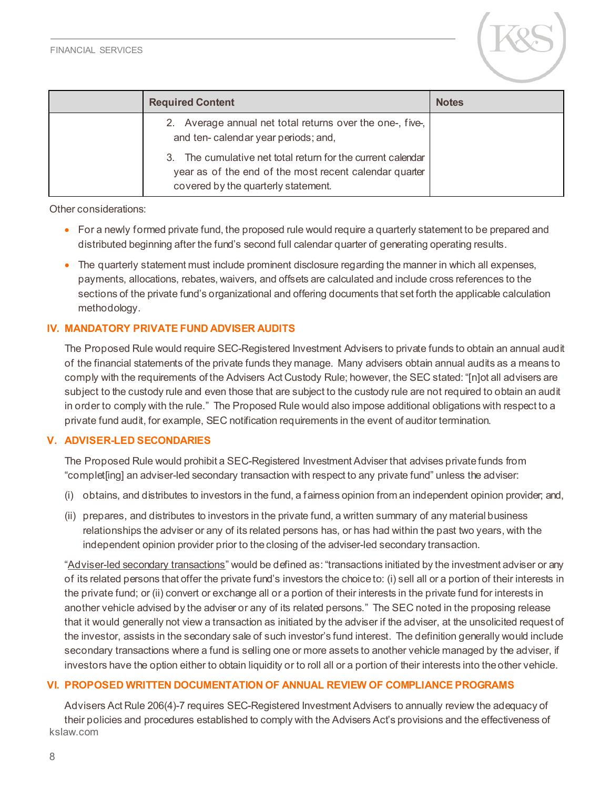

| <b>Required Content</b>                                                                                                                                         | <b>Notes</b> |
|-----------------------------------------------------------------------------------------------------------------------------------------------------------------|--------------|
| 2. Average annual net total returns over the one-, five-<br>and ten-calendar year periods; and,                                                                 |              |
| The cumulative net total return for the current calendar<br>3.<br>year as of the end of the most recent calendar quarter<br>covered by the quarterly statement. |              |

Other considerations:

- For a newly formed private fund, the proposed rule would require a quarterly statement to be prepared and distributed beginning after the fund's second full calendar quarter of generating operating results.
- <span id="page-7-0"></span>• The quarterly statement must include prominent disclosure regarding the manner in which all expenses, payments, allocations, rebates, waivers, and offsets are calculated and include cross references to the sections of the private fund's organizational and offering documents that set forth the applicable calculation methodology.

#### **IV. MANDATORY PRIVATE FUND ADVISER AUDITS**

The Proposed Rule would require SEC-Registered Investment Advisers to private funds to obtain an annual audit of the financial statements of the private funds they manage. Many advisers obtain annual audits as a means to comply with the requirements of the Advisers Act Custody Rule; however, the SEC stated: "[n]ot all advisers are subject to the custody rule and even those that are subject to the custody rule are not required to obtain an audit in order to comply with the rule." The Proposed Rule would also impose additional obligations with respect to a private fund audit, for example, SEC notification requirements in the event of auditor termination.

#### <span id="page-7-1"></span>**V. ADVISER-LED SECONDARIES**

The Proposed Rule would prohibit a SEC-Registered Investment Adviser that advises private funds from "complet[ing] an adviser-led secondary transaction with respect to any private fund" unless the adviser:

- (i) obtains, and distributes to investors in the fund, a fairness opinion from an independent opinion provider; and,
- (ii) prepares, and distributes to investors in the private fund, a written summary of any material business relationships the adviser or any of its related persons has, or has had within the past two years, with the independent opinion provider prior to the closing of the adviser-led secondary transaction.

"Adviser-led secondary transactions" would be defined as: "transactions initiated by the investment adviser or any of its related persons that offer the private fund's investors the choice to: (i) sell all or a portion of their interests in the private fund; or (ii) convert or exchange all or a portion of their interests in the private fund for interests in another vehicle advised by the adviser or any of its related persons." The SEC noted in the proposing release that it would generally not view a transaction as initiated by the adviser if the adviser, at the unsolicited request of the investor, assists in the secondary sale of such investor's fund interest. The definition generally would include secondary transactions where a fund is selling one or more assets to another vehicle managed by the adviser, if investors have the option either to obtain liquidity or to roll all or a portion of their interests into the other vehicle.

#### **VI. PROPOSED WRITTEN DOCUMENTATION OF ANNUAL REVIEW OF COMPLIANCE PROGRAMS**

kslaw.com Advisers Act Rule 206(4)-7 requires SEC-Registered Investment Advisers to annually review the adequacy of their policies and procedures established to comply with the Advisers Act's provisions and the effectiveness of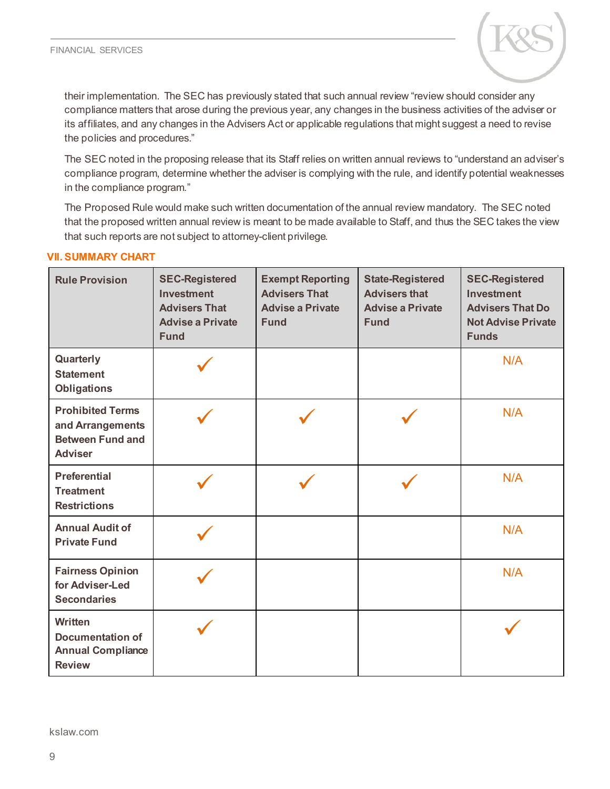

their implementation. The SEC has previously stated that such annual review "review should consider any compliance matters that arose during the previous year, any changes in the business activities of the adviser or its affiliates, and any changes in the Advisers Act or applicable regulations that might suggest a need to revise the policies and procedures."

The SEC noted in the proposing release that its Staff relies on written annual reviews to "understand an adviser's compliance program, determine whether the adviser is complying with the rule, and identify potential weaknesses in the compliance program."

The Proposed Rule would make such written documentation of the annual review mandatory. The SEC noted that the proposed written annual review is meant to be made available to Staff, and thus the SEC takes the view that such reports are not subject to attorney-client privilege.

#### <span id="page-8-0"></span>**VII. SUMMARY CHART**

| <b>Rule Provision</b>                                                                    | <b>SEC-Registered</b><br><b>Investment</b><br><b>Advisers That</b><br><b>Advise a Private</b><br><b>Fund</b> | <b>Exempt Reporting</b><br><b>Advisers That</b><br><b>Advise a Private</b><br><b>Fund</b> | <b>State-Registered</b><br><b>Advisers that</b><br><b>Advise a Private</b><br><b>Fund</b> | <b>SEC-Registered</b><br><b>Investment</b><br><b>Advisers That Do</b><br><b>Not Advise Private</b><br><b>Funds</b> |
|------------------------------------------------------------------------------------------|--------------------------------------------------------------------------------------------------------------|-------------------------------------------------------------------------------------------|-------------------------------------------------------------------------------------------|--------------------------------------------------------------------------------------------------------------------|
| Quarterly<br><b>Statement</b><br><b>Obligations</b>                                      |                                                                                                              |                                                                                           |                                                                                           | N/A                                                                                                                |
| <b>Prohibited Terms</b><br>and Arrangements<br><b>Between Fund and</b><br><b>Adviser</b> |                                                                                                              |                                                                                           |                                                                                           | N/A                                                                                                                |
| <b>Preferential</b><br><b>Treatment</b><br><b>Restrictions</b>                           |                                                                                                              |                                                                                           |                                                                                           | N/A                                                                                                                |
| <b>Annual Audit of</b><br><b>Private Fund</b>                                            |                                                                                                              |                                                                                           |                                                                                           | N/A                                                                                                                |
| <b>Fairness Opinion</b><br>for Adviser-Led<br><b>Secondaries</b>                         |                                                                                                              |                                                                                           |                                                                                           | N/A                                                                                                                |
| Written<br><b>Documentation of</b><br><b>Annual Compliance</b><br><b>Review</b>          |                                                                                                              |                                                                                           |                                                                                           |                                                                                                                    |